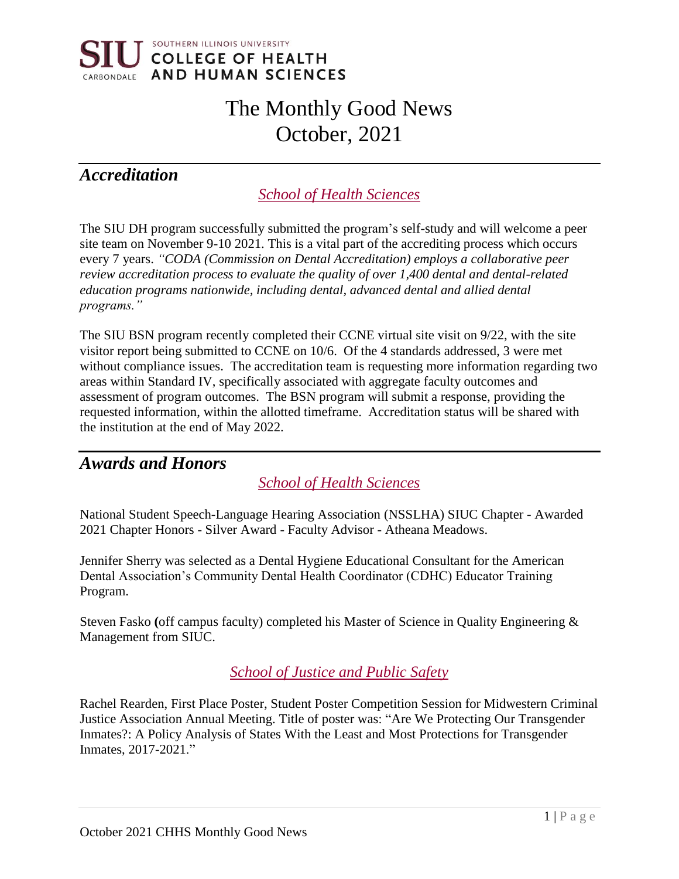

# The Monthly Good News October, 2021

# *Accreditation*

*School of Health Sciences*

The SIU DH program successfully submitted the program's self-study and will welcome a peer site team on November 9-10 2021. This is a vital part of the accrediting process which occurs every 7 years. *"CODA (Commission on Dental Accreditation) employs a collaborative peer review accreditation process to evaluate the quality of over 1,400 dental and dental-related education programs nationwide, including dental, advanced dental and allied dental programs."*

The SIU BSN program recently completed their CCNE virtual site visit on 9/22, with the site visitor report being submitted to CCNE on 10/6. Of the 4 standards addressed, 3 were met without compliance issues. The accreditation team is requesting more information regarding two areas within Standard IV, specifically associated with aggregate faculty outcomes and assessment of program outcomes. The BSN program will submit a response, providing the requested information, within the allotted timeframe. Accreditation status will be shared with the institution at the end of May 2022.

### *Awards and Honors*

*School of Health Sciences*

National Student Speech-Language Hearing Association (NSSLHA) SIUC Chapter - Awarded 2021 Chapter Honors - Silver Award - Faculty Advisor - Atheana Meadows.

Jennifer Sherry was selected as a Dental Hygiene Educational Consultant for the American Dental Association's Community Dental Health Coordinator (CDHC) Educator Training Program.

Steven Fasko **(**off campus faculty) completed his Master of Science in Quality Engineering & Management from SIUC.

### *School of Justice and Public Safety*

Rachel Rearden, First Place Poster, Student Poster Competition Session for Midwestern Criminal Justice Association Annual Meeting. Title of poster was: "Are We Protecting Our Transgender Inmates?: A Policy Analysis of States With the Least and Most Protections for Transgender Inmates, 2017-2021."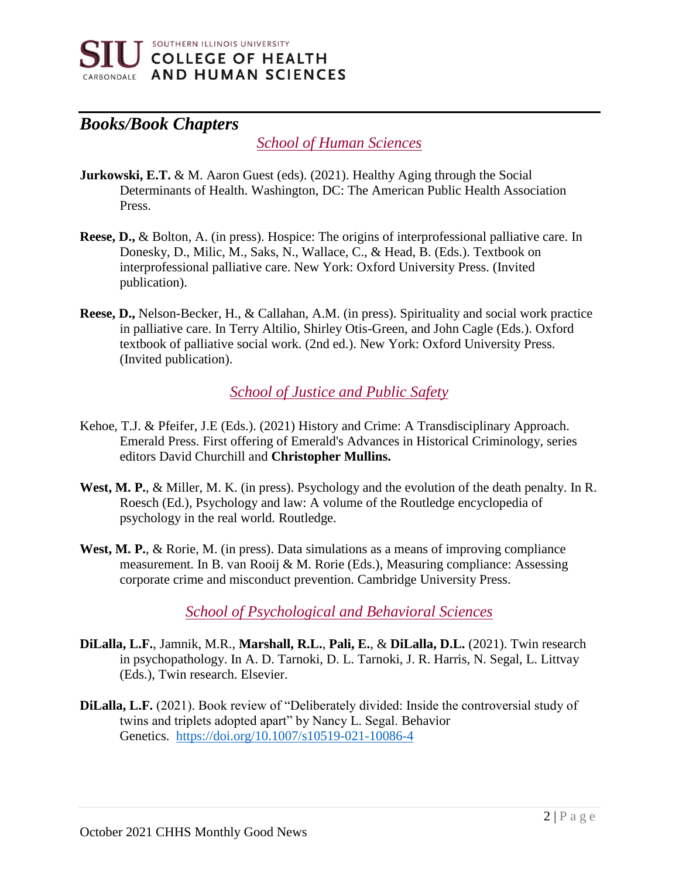

# *Books/Book Chapters*

### *School of Human Sciences*

- **Jurkowski, E.T.** & M. Aaron Guest (eds). (2021). Healthy Aging through the Social Determinants of Health. Washington, DC: The American Public Health Association Press.
- **Reese, D.,** & Bolton, A. (in press). Hospice: The origins of interprofessional palliative care. In Donesky, D., Milic, M., Saks, N., Wallace, C., & Head, B. (Eds.). Textbook on interprofessional palliative care. New York: Oxford University Press. (Invited publication).
- **Reese, D.,** Nelson-Becker, H., & Callahan, A.M. (in press). Spirituality and social work practice in palliative care. In Terry Altilio, Shirley Otis-Green, and John Cagle (Eds.). Oxford textbook of palliative social work. (2nd ed.). New York: Oxford University Press. (Invited publication).

*School of Justice and Public Safety*

- Kehoe, T.J. & Pfeifer, J.E (Eds.). (2021) History and Crime: A Transdisciplinary Approach. Emerald Press. First offering of Emerald's Advances in Historical Criminology, series editors David Churchill and **Christopher Mullins.**
- **West, M. P.**, & Miller, M. K. (in press). Psychology and the evolution of the death penalty. In R. Roesch (Ed.), Psychology and law: A volume of the Routledge encyclopedia of psychology in the real world. Routledge.
- West, M. P., & Rorie, M. (in press). Data simulations as a means of improving compliance measurement. In B. van Rooij & M. Rorie (Eds.), Measuring compliance: Assessing corporate crime and misconduct prevention. Cambridge University Press.

*School of Psychological and Behavioral Sciences*

- **DiLalla, L.F.**, Jamnik, M.R., **Marshall, R.L.**, **Pali, E.**, & **DiLalla, D.L.** (2021). Twin research in psychopathology. In A. D. Tarnoki, D. L. Tarnoki, J. R. Harris, N. Segal, L. Littvay (Eds.), Twin research. Elsevier.
- **DiLalla, L.F.** (2021). Book review of "Deliberately divided: Inside the controversial study of twins and triplets adopted apart" by Nancy L. Segal. Behavior Genetics. <https://doi.org/10.1007/s10519-021-10086-4>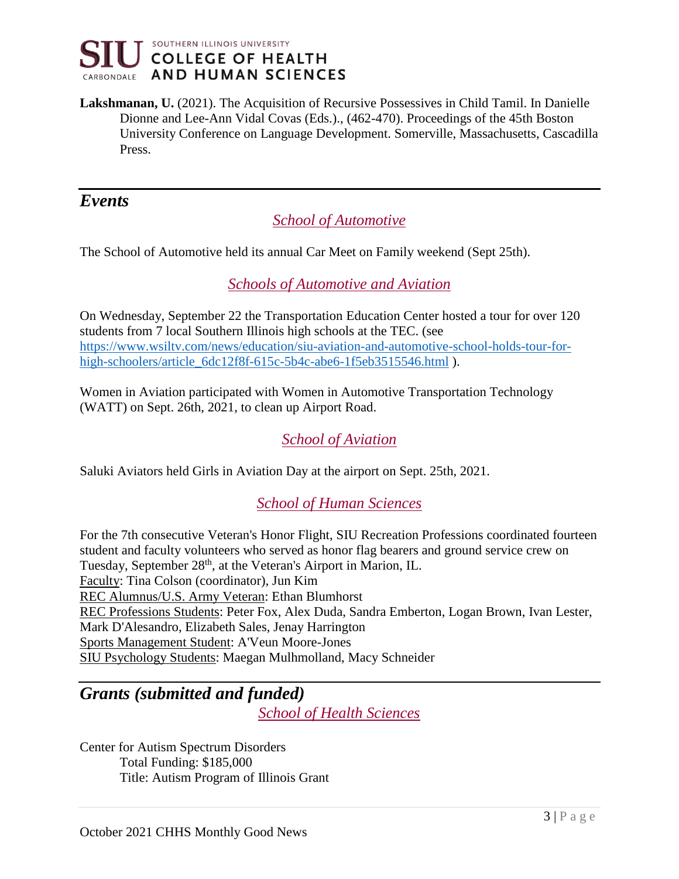

**Lakshmanan, U.** (2021). The Acquisition of Recursive Possessives in Child Tamil. In Danielle Dionne and Lee-Ann Vidal Covas (Eds.)., (462-470). Proceedings of the 45th Boston University Conference on Language Development. Somerville, Massachusetts, Cascadilla Press.

### *Events*

### *School of Automotive*

The School of Automotive held its annual Car Meet on Family weekend (Sept 25th).

### *Schools of Automotive and Aviation*

On Wednesday, September 22 the Transportation Education Center hosted a tour for over 120 students from 7 local Southern Illinois high schools at the TEC. (see [https://www.wsiltv.com/news/education/siu-aviation-and-automotive-school-holds-tour-for](https://www.wsiltv.com/news/education/siu-aviation-and-automotive-school-holds-tour-for-high-schoolers/article_6dc12f8f-615c-5b4c-abe6-1f5eb3515546.html)[high-schoolers/article\\_6dc12f8f-615c-5b4c-abe6-1f5eb3515546.html](https://www.wsiltv.com/news/education/siu-aviation-and-automotive-school-holds-tour-for-high-schoolers/article_6dc12f8f-615c-5b4c-abe6-1f5eb3515546.html) ).

Women in Aviation participated with Women in Automotive Transportation Technology (WATT) on Sept. 26th, 2021, to clean up Airport Road.

### *School of Aviation*

Saluki Aviators held Girls in Aviation Day at the airport on Sept. 25th, 2021.

### *School of Human Sciences*

For the 7th consecutive Veteran's Honor Flight, SIU Recreation Professions coordinated fourteen student and faculty volunteers who served as honor flag bearers and ground service crew on Tuesday, September 28<sup>th</sup>, at the Veteran's Airport in Marion, IL. Faculty: Tina Colson (coordinator), Jun Kim REC Alumnus/U.S. Army Veteran: Ethan Blumhorst REC Professions Students: Peter Fox, Alex Duda, Sandra Emberton, Logan Brown, Ivan Lester, Mark D'Alesandro, Elizabeth Sales, Jenay Harrington Sports Management Student: A'Veun Moore-Jones SIU Psychology Students: Maegan Mulhmolland, Macy Schneider

# *Grants (submitted and funded)*

*School of Health Sciences*

Center for Autism Spectrum Disorders Total Funding: \$185,000 Title: Autism Program of Illinois Grant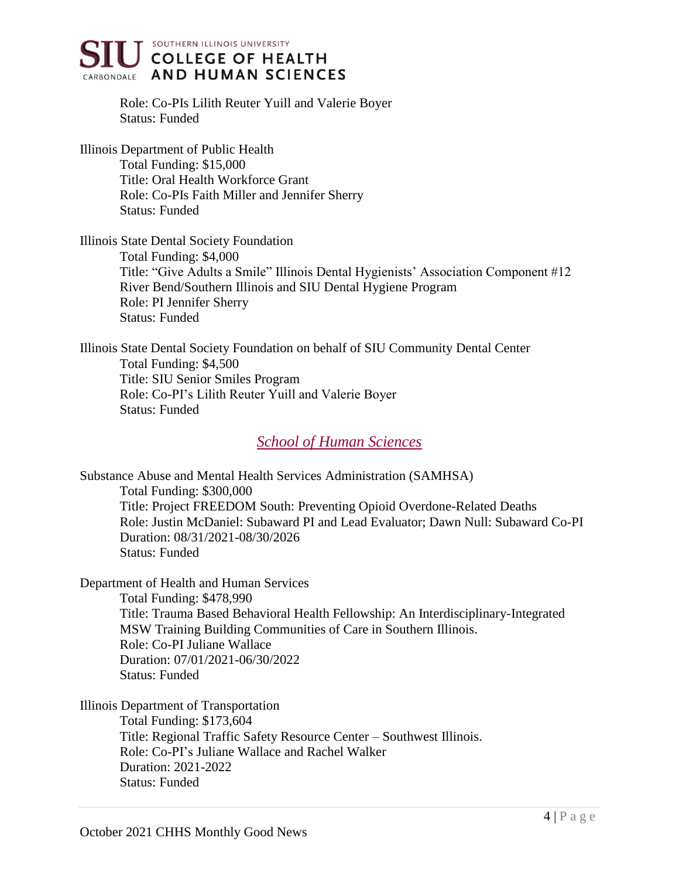

Role: Co-PIs Lilith Reuter Yuill and Valerie Boyer Status: Funded

Illinois Department of Public Health Total Funding: \$15,000 Title: Oral Health Workforce Grant Role: Co-PIs Faith Miller and Jennifer Sherry Status: Funded

Illinois State Dental Society Foundation

Total Funding: \$4,000 Title: "Give Adults a Smile" Illinois Dental Hygienists' Association Component #12 River Bend/Southern Illinois and SIU Dental Hygiene Program Role: PI Jennifer Sherry Status: Funded

Illinois State Dental Society Foundation on behalf of SIU Community Dental Center Total Funding: \$4,500 Title: SIU Senior Smiles Program Role: Co-PI's Lilith Reuter Yuill and Valerie Boyer Status: Funded

*School of Human Sciences*

Substance Abuse and Mental Health Services Administration (SAMHSA) Total Funding: \$300,000 Title: Project FREEDOM South: Preventing Opioid Overdone-Related Deaths Role: Justin McDaniel: Subaward PI and Lead Evaluator; Dawn Null: Subaward Co-PI Duration: 08/31/2021-08/30/2026 Status: Funded

Department of Health and Human Services Total Funding: \$478,990 Title: Trauma Based Behavioral Health Fellowship: An Interdisciplinary-Integrated MSW Training Building Communities of Care in Southern Illinois. Role: Co-PI Juliane Wallace Duration: 07/01/2021-06/30/2022 Status: Funded

Illinois Department of Transportation

Total Funding: \$173,604 Title: Regional Traffic Safety Resource Center – Southwest Illinois. Role: Co-PI's Juliane Wallace and Rachel Walker Duration: 2021-2022 Status: Funded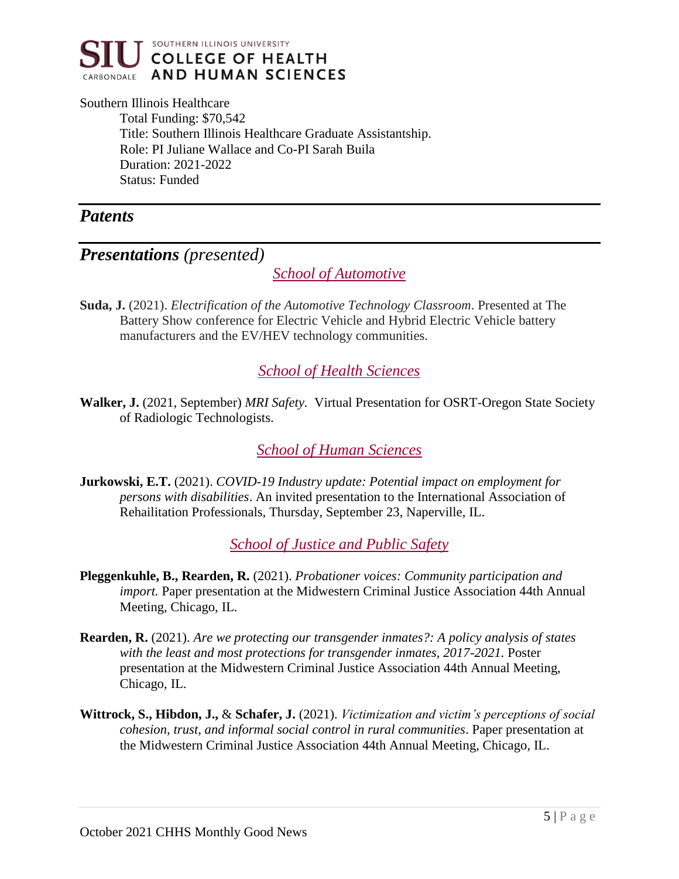

#### Southern Illinois Healthcare

Total Funding: \$70,542 Title: Southern Illinois Healthcare Graduate Assistantship. Role: PI Juliane Wallace and Co-PI Sarah Buila Duration: 2021-2022 Status: Funded

### *Patents*

### *Presentations (presented)*

*School of Automotive*

**Suda, J.** (2021). *Electrification of the Automotive Technology Classroom*. Presented at The Battery Show conference for Electric Vehicle and Hybrid Electric Vehicle battery manufacturers and the EV/HEV technology communities.

### *School of Health Sciences*

**Walker, J.** (2021, September) *MRI Safety.* Virtual Presentation for OSRT-Oregon State Society of Radiologic Technologists.

*School of Human Sciences*

**Jurkowski, E.T.** (2021). *COVID-19 Industry update: Potential impact on employment for persons with disabilities*. An invited presentation to the International Association of Rehailitation Professionals, Thursday, September 23, Naperville, IL.

*School of Justice and Public Safety*

- **Pleggenkuhle, B., Rearden, R.** (2021). *Probationer voices: Community participation and import.* Paper presentation at the Midwestern Criminal Justice Association 44th Annual Meeting, Chicago, IL.
- **Rearden, R.** (2021). *Are we protecting our transgender inmates?: A policy analysis of states with the least and most protections for transgender inmates, 2017-2021.* Poster presentation at the Midwestern Criminal Justice Association 44th Annual Meeting, Chicago, IL.
- **Wittrock, S., Hibdon, J.,** & **Schafer, J.** (2021). *Victimization and victim's perceptions of social cohesion, trust, and informal social control in rural communities*. Paper presentation at the Midwestern Criminal Justice Association 44th Annual Meeting, Chicago, IL.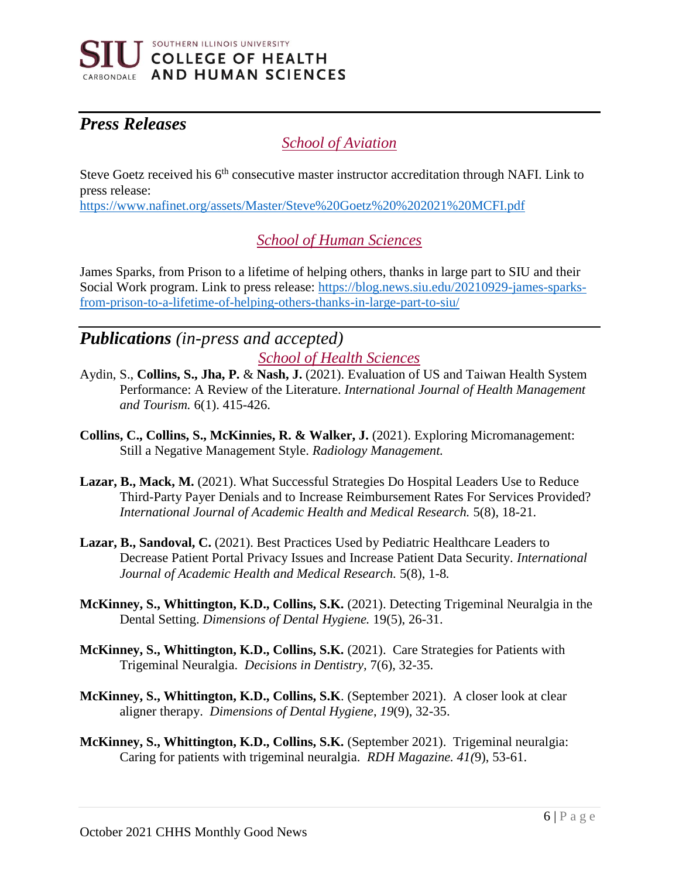

# *Press Releases*

### *School of Aviation*

Steve Goetz received his 6<sup>th</sup> consecutive master instructor accreditation through NAFI. Link to press release:

<https://www.nafinet.org/assets/Master/Steve%20Goetz%20%202021%20MCFI.pdf>

### *School of Human Sciences*

James Sparks, from Prison to a lifetime of helping others, thanks in large part to SIU and their Social Work program. Link to press release: [https://blog.news.siu.edu/20210929-james-sparks](https://blog.news.siu.edu/20210929-james-sparks-from-prison-to-a-lifetime-of-helping-others-thanks-in-large-part-to-siu/)[from-prison-to-a-lifetime-of-helping-others-thanks-in-large-part-to-siu/](https://blog.news.siu.edu/20210929-james-sparks-from-prison-to-a-lifetime-of-helping-others-thanks-in-large-part-to-siu/)

## *Publications (in-press and accepted) School of Health Sciences*

- Aydin, S., **Collins, S., Jha, P.** & **Nash, J.** (2021). Evaluation of US and Taiwan Health System Performance: A Review of the Literature. *International Journal of Health Management and Tourism.* 6(1). 415-426.
- **Collins, C., Collins, S., McKinnies, R. & Walker, J.** (2021). Exploring Micromanagement: Still a Negative Management Style. *Radiology Management.*
- **Lazar, B., Mack, M.** (2021). What Successful Strategies Do Hospital Leaders Use to Reduce Third-Party Payer Denials and to Increase Reimbursement Rates For Services Provided? *International Journal of Academic Health and Medical Research.* 5(8), 18-21*.*
- **Lazar, B., Sandoval, C.** (2021). Best Practices Used by Pediatric Healthcare Leaders to Decrease Patient Portal Privacy Issues and Increase Patient Data Security. *International Journal of Academic Health and Medical Research.* 5(8), 1-8*.*
- **McKinney, S., Whittington, K.D., Collins, S.K.** (2021). Detecting Trigeminal Neuralgia in the Dental Setting. *Dimensions of Dental Hygiene.* 19(5), 26-31.
- **McKinney, S., Whittington, K.D., Collins, S.K.** (2021). Care Strategies for Patients with Trigeminal Neuralgia. *Decisions in Dentistry,* 7(6), 32-35.
- **McKinney, S., Whittington, K.D., Collins, S.K**. (September 2021). A closer look at clear aligner therapy. *Dimensions of Dental Hygiene*, *19*(9), 32-35.
- **McKinney, S., Whittington, K.D., Collins, S.K.** (September 2021). Trigeminal neuralgia: Caring for patients with trigeminal neuralgia. *RDH Magazine. 41(*9), 53-61.